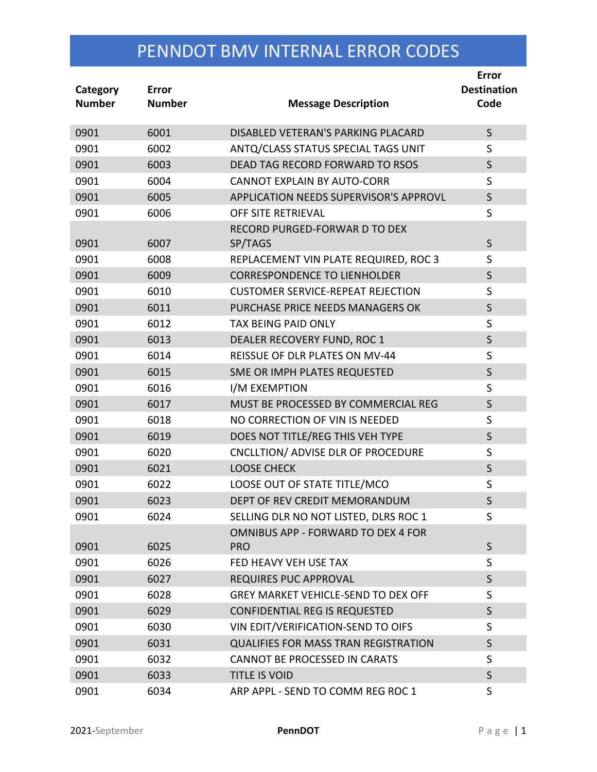| Category<br><b>Number</b> | Error<br><b>Number</b> | <b>Message Description</b>                  | Error<br><b>Destination</b><br>Code |
|---------------------------|------------------------|---------------------------------------------|-------------------------------------|
| 0901                      | 6001                   | DISABLED VETERAN'S PARKING PLACARD          | $\mathsf{S}$                        |
| 0901                      | 6002                   | ANTQ/CLASS STATUS SPECIAL TAGS UNIT         | S                                   |
| 0901                      | 6003                   | DEAD TAG RECORD FORWARD TO RSOS             | $\mathsf{S}$                        |
| 0901                      | 6004                   | <b>CANNOT EXPLAIN BY AUTO-CORR</b>          | S                                   |
| 0901                      | 6005                   | APPLICATION NEEDS SUPERVISOR'S APPROVL      | $\mathsf{S}$                        |
| 0901                      | 6006                   | OFF SITE RETRIEVAL                          | S                                   |
| 0901                      | 6007                   | RECORD PURGED-FORWAR D TO DEX<br>SP/TAGS    | $\mathsf{S}$                        |
| 0901                      | 6008                   | REPLACEMENT VIN PLATE REQUIRED, ROC 3       | $\mathsf S$                         |
| 0901                      | 6009                   | <b>CORRESPONDENCE TO LIENHOLDER</b>         | $\mathsf S$                         |
| 0901                      | 6010                   | <b>CUSTOMER SERVICE-REPEAT REJECTION</b>    | S                                   |
| 0901                      | 6011                   | PURCHASE PRICE NEEDS MANAGERS OK            | $\mathsf{S}$                        |
| 0901                      | 6012                   | <b>TAX BEING PAID ONLY</b>                  | S                                   |
| 0901                      | 6013                   | DEALER RECOVERY FUND, ROC 1                 | $\mathsf S$                         |
| 0901                      | 6014                   | REISSUE OF DLR PLATES ON MV-44              | $\mathsf S$                         |
| 0901                      | 6015                   | SME OR IMPH PLATES REQUESTED                | $\mathsf{S}$                        |
| 0901                      | 6016                   | I/M EXEMPTION                               | $\mathsf S$                         |
| 0901                      | 6017                   | MUST BE PROCESSED BY COMMERCIAL REG         | $\mathsf S$                         |
| 0901                      | 6018                   | NO CORRECTION OF VIN IS NEEDED              | S                                   |
| 0901                      | 6019                   | DOES NOT TITLE/REG THIS VEH TYPE            | $\mathsf S$                         |
| 0901                      | 6020                   | CNCLLTION/ ADVISE DLR OF PROCEDURE          | S                                   |
| 0901                      | 6021                   | <b>LOOSE CHECK</b>                          | $\sf S$                             |
| 0901                      | 6022                   | LOOSE OUT OF STATE TITLE/MCO                | $\mathsf S$                         |
| 0901                      | 6023                   | DEPT OF REV CREDIT MEMORANDUM               | S                                   |
| 0901                      | 6024                   | SELLING DLR NO NOT LISTED, DLRS ROC 1       | S                                   |
|                           |                        | OMNIBUS APP - FORWARD TO DEX 4 FOR          |                                     |
| 0901                      | 6025                   | <b>PRO</b>                                  | $\mathsf{S}$                        |
| 0901                      | 6026                   | FED HEAVY VEH USE TAX                       | S                                   |
| 0901                      | 6027                   | <b>REQUIRES PUC APPROVAL</b>                | S                                   |
| 0901                      | 6028                   | <b>GREY MARKET VEHICLE-SEND TO DEX OFF</b>  | S                                   |
| 0901                      | 6029                   | <b>CONFIDENTIAL REG IS REQUESTED</b>        | $\mathsf{S}$                        |
| 0901                      | 6030                   | VIN EDIT/VERIFICATION-SEND TO OIFS          | S                                   |
| 0901                      | 6031                   | <b>QUALIFIES FOR MASS TRAN REGISTRATION</b> | $\mathsf{S}$                        |
| 0901                      | 6032                   | <b>CANNOT BE PROCESSED IN CARATS</b>        | S                                   |
| 0901                      | 6033                   | <b>TITLE IS VOID</b>                        | S                                   |
| 0901                      | 6034                   | ARP APPL - SEND TO COMM REG ROC 1           | S                                   |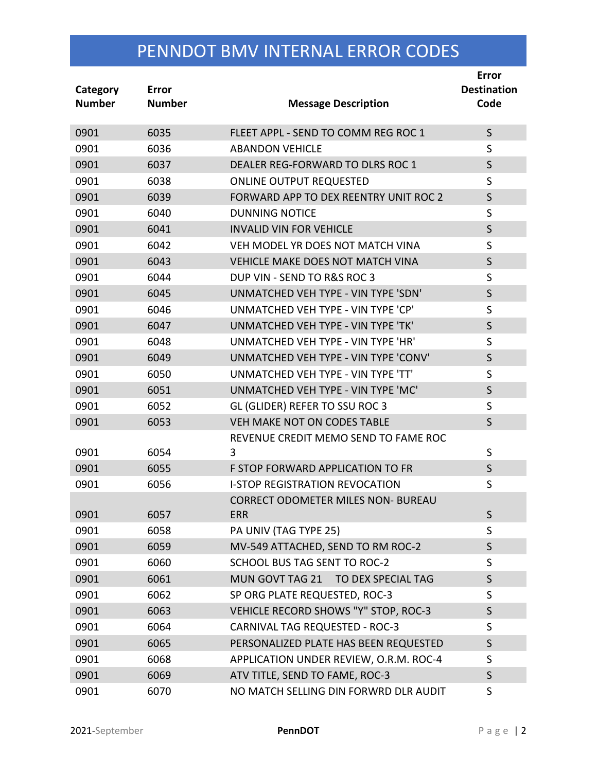| Category<br><b>Number</b> | Error<br><b>Number</b> | <b>Message Description</b>                              | <b>Error</b><br><b>Destination</b><br>Code |
|---------------------------|------------------------|---------------------------------------------------------|--------------------------------------------|
| 0901                      | 6035                   | FLEET APPL - SEND TO COMM REG ROC 1                     | $\mathsf{S}$                               |
| 0901                      | 6036                   | <b>ABANDON VEHICLE</b>                                  | S                                          |
| 0901                      | 6037                   | DEALER REG-FORWARD TO DLRS ROC 1                        | $\mathsf{S}$                               |
| 0901                      | 6038                   | <b>ONLINE OUTPUT REQUESTED</b>                          | S                                          |
| 0901                      | 6039                   | FORWARD APP TO DEX REENTRY UNIT ROC 2                   | $\mathsf S$                                |
| 0901                      | 6040                   | <b>DUNNING NOTICE</b>                                   | $\mathsf S$                                |
| 0901                      | 6041                   | <b>INVALID VIN FOR VEHICLE</b>                          | $\mathsf S$                                |
| 0901                      | 6042                   | VEH MODEL YR DOES NOT MATCH VINA                        | S                                          |
| 0901                      | 6043                   | <b>VEHICLE MAKE DOES NOT MATCH VINA</b>                 | $\mathsf{S}$                               |
| 0901                      | 6044                   | DUP VIN - SEND TO R&S ROC 3                             | S                                          |
| 0901                      | 6045                   | UNMATCHED VEH TYPE - VIN TYPE 'SDN'                     | $\mathsf S$                                |
| 0901                      | 6046                   | UNMATCHED VEH TYPE - VIN TYPE 'CP'                      | S                                          |
| 0901                      | 6047                   | UNMATCHED VEH TYPE - VIN TYPE 'TK'                      | $\mathsf S$                                |
| 0901                      | 6048                   | UNMATCHED VEH TYPE - VIN TYPE 'HR'                      | S                                          |
| 0901                      | 6049                   | UNMATCHED VEH TYPE - VIN TYPE 'CONV'                    | $\mathsf S$                                |
| 0901                      | 6050                   | UNMATCHED VEH TYPE - VIN TYPE 'TT'                      | S                                          |
| 0901                      | 6051                   | UNMATCHED VEH TYPE - VIN TYPE 'MC'                      | $\mathsf{S}$                               |
| 0901                      | 6052                   | GL (GLIDER) REFER TO SSU ROC 3                          | S                                          |
| 0901                      | 6053                   | VEH MAKE NOT ON CODES TABLE                             | $\mathsf{S}$                               |
|                           |                        | REVENUE CREDIT MEMO SEND TO FAME ROC                    |                                            |
| 0901                      | 6054                   | 3                                                       | $\sf S$                                    |
| 0901                      | 6055                   | F STOP FORWARD APPLICATION TO FR                        | $\mathsf S$                                |
| 0901                      | 6056                   | <b>I-STOP REGISTRATION REVOCATION</b>                   | $\mathsf S$                                |
| 0901                      | 6057                   | <b>CORRECT ODOMETER MILES NON- BUREAU</b><br><b>ERR</b> | S                                          |
| 0901                      | 6058                   | PA UNIV (TAG TYPE 25)                                   | S                                          |
| 0901                      | 6059                   | MV-549 ATTACHED, SEND TO RM ROC-2                       | S                                          |
| 0901                      | 6060                   | SCHOOL BUS TAG SENT TO ROC-2                            | S                                          |
| 0901                      | 6061                   | MUN GOVT TAG 21 TO DEX SPECIAL TAG                      | S                                          |
| 0901                      | 6062                   | SP ORG PLATE REQUESTED, ROC-3                           | S                                          |
| 0901                      | 6063                   | VEHICLE RECORD SHOWS "Y" STOP, ROC-3                    | $\mathsf{S}$                               |
| 0901                      | 6064                   | <b>CARNIVAL TAG REQUESTED - ROC-3</b>                   | S                                          |
| 0901                      | 6065                   | PERSONALIZED PLATE HAS BEEN REQUESTED                   | S                                          |
| 0901                      | 6068                   | APPLICATION UNDER REVIEW, O.R.M. ROC-4                  | S                                          |
| 0901                      | 6069                   | ATV TITLE, SEND TO FAME, ROC-3                          | S                                          |
| 0901                      | 6070                   | NO MATCH SELLING DIN FORWRD DLR AUDIT                   | S                                          |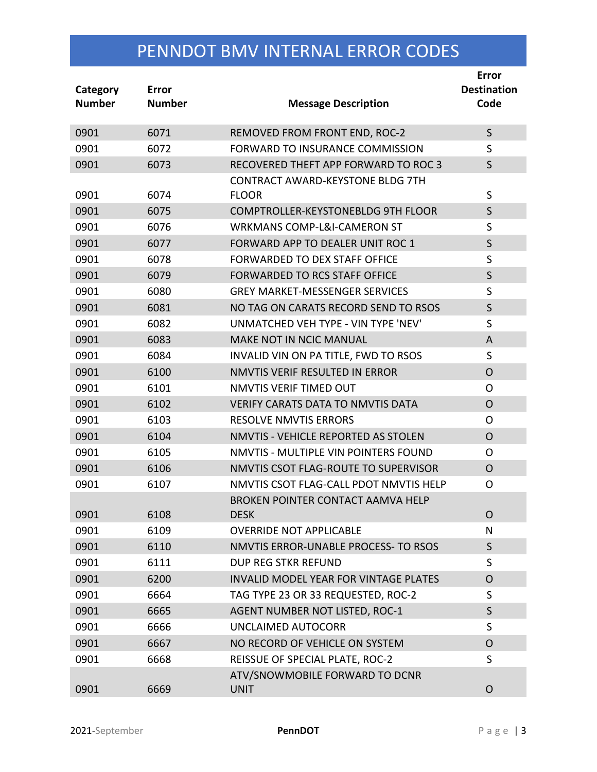| Category<br><b>Number</b> | Error<br><b>Number</b> | <b>Message Description</b>                    | Error<br><b>Destination</b><br>Code |
|---------------------------|------------------------|-----------------------------------------------|-------------------------------------|
| 0901                      | 6071                   | REMOVED FROM FRONT END, ROC-2                 | $\mathsf{S}$                        |
| 0901                      | 6072                   | FORWARD TO INSURANCE COMMISSION               | S                                   |
| 0901                      | 6073                   | RECOVERED THEFT APP FORWARD TO ROC 3          | $\mathsf{S}$                        |
|                           |                        | <b>CONTRACT AWARD-KEYSTONE BLDG 7TH</b>       |                                     |
| 0901                      | 6074                   | <b>FLOOR</b>                                  | S                                   |
| 0901                      | 6075                   | <b>COMPTROLLER-KEYSTONEBLDG 9TH FLOOR</b>     | $\mathsf S$                         |
| 0901                      | 6076                   | <b>WRKMANS COMP-L&amp;I-CAMERON ST</b>        | S                                   |
| 0901                      | 6077                   | FORWARD APP TO DEALER UNIT ROC 1              | $\mathsf{S}$                        |
| 0901                      | 6078                   | FORWARDED TO DEX STAFF OFFICE                 | S                                   |
| 0901                      | 6079                   | FORWARDED TO RCS STAFF OFFICE                 | $\mathsf S$                         |
| 0901                      | 6080                   | <b>GREY MARKET-MESSENGER SERVICES</b>         | S                                   |
| 0901                      | 6081                   | NO TAG ON CARATS RECORD SEND TO RSOS          | $\mathsf{S}$                        |
| 0901                      | 6082                   | UNMATCHED VEH TYPE - VIN TYPE 'NEV'           | S                                   |
| 0901                      | 6083                   | <b>MAKE NOT IN NCIC MANUAL</b>                | A                                   |
| 0901                      | 6084                   | INVALID VIN ON PA TITLE, FWD TO RSOS          | S                                   |
| 0901                      | 6100                   | NMVTIS VERIF RESULTED IN ERROR                | $\overline{O}$                      |
| 0901                      | 6101                   | NMVTIS VERIF TIMED OUT                        | O                                   |
| 0901                      | 6102                   | <b>VERIFY CARATS DATA TO NMVTIS DATA</b>      | $\mathsf{O}$                        |
| 0901                      | 6103                   | <b>RESOLVE NMVTIS ERRORS</b>                  | O                                   |
| 0901                      | 6104                   | NMVTIS - VEHICLE REPORTED AS STOLEN           | $\overline{O}$                      |
| 0901                      | 6105                   | NMVTIS - MULTIPLE VIN POINTERS FOUND          | O                                   |
| 0901                      | 6106                   | NMVTIS CSOT FLAG-ROUTE TO SUPERVISOR          | $\mathsf{O}$                        |
| 0901                      | 6107                   | NMVTIS CSOT FLAG-CALL PDOT NMVTIS HELP        | O                                   |
|                           |                        | <b>BROKEN POINTER CONTACT AAMVA HELP</b>      |                                     |
| 0901                      | 6108                   | <b>DESK</b>                                   | $\circ$                             |
| 0901                      | 6109                   | <b>OVERRIDE NOT APPLICABLE</b>                | N                                   |
| 0901                      | 6110                   | NMVTIS ERROR-UNABLE PROCESS- TO RSOS          | $\mathsf{S}$                        |
| 0901                      | 6111                   | DUP REG STKR REFUND                           | S                                   |
| 0901                      | 6200                   | <b>INVALID MODEL YEAR FOR VINTAGE PLATES</b>  | O                                   |
| 0901                      | 6664                   | TAG TYPE 23 OR 33 REQUESTED, ROC-2            | S                                   |
| 0901                      | 6665                   | AGENT NUMBER NOT LISTED, ROC-1                | $\mathsf{S}$                        |
| 0901                      | 6666                   | <b>UNCLAIMED AUTOCORR</b>                     | S                                   |
| 0901                      | 6667                   | NO RECORD OF VEHICLE ON SYSTEM                | O                                   |
| 0901                      | 6668                   | REISSUE OF SPECIAL PLATE, ROC-2               | S                                   |
| 0901                      | 6669                   | ATV/SNOWMOBILE FORWARD TO DCNR<br><b>UNIT</b> | O                                   |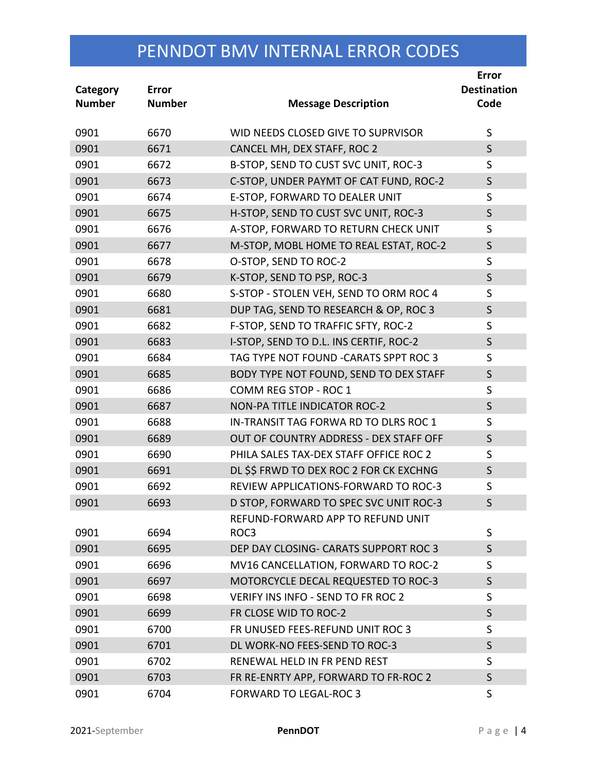| Category<br><b>Number</b> | Error<br><b>Number</b> | <b>Message Description</b>                | <b>Error</b><br><b>Destination</b><br>Code |
|---------------------------|------------------------|-------------------------------------------|--------------------------------------------|
| 0901                      | 6670                   | WID NEEDS CLOSED GIVE TO SUPRVISOR        | S                                          |
| 0901                      | 6671                   | CANCEL MH, DEX STAFF, ROC 2               | $\mathsf{S}$                               |
| 0901                      | 6672                   | B-STOP, SEND TO CUST SVC UNIT, ROC-3      | S                                          |
| 0901                      | 6673                   | C-STOP, UNDER PAYMT OF CAT FUND, ROC-2    | $\mathsf{S}$                               |
| 0901                      | 6674                   | E-STOP, FORWARD TO DEALER UNIT            | S                                          |
| 0901                      | 6675                   | H-STOP, SEND TO CUST SVC UNIT, ROC-3      | $\mathsf{S}$                               |
| 0901                      | 6676                   | A-STOP, FORWARD TO RETURN CHECK UNIT      | S                                          |
| 0901                      | 6677                   | M-STOP, MOBL HOME TO REAL ESTAT, ROC-2    | $\mathsf{S}$                               |
| 0901                      | 6678                   | O-STOP, SEND TO ROC-2                     | S                                          |
| 0901                      | 6679                   | K-STOP, SEND TO PSP, ROC-3                | $\mathsf{S}$                               |
| 0901                      | 6680                   | S-STOP - STOLEN VEH, SEND TO ORM ROC 4    | S                                          |
| 0901                      | 6681                   | DUP TAG, SEND TO RESEARCH & OP, ROC 3     | $\mathsf{S}$                               |
| 0901                      | 6682                   | F-STOP, SEND TO TRAFFIC SFTY, ROC-2       | S                                          |
| 0901                      | 6683                   | I-STOP, SEND TO D.L. INS CERTIF, ROC-2    | $\mathsf{S}$                               |
| 0901                      | 6684                   | TAG TYPE NOT FOUND -CARATS SPPT ROC 3     | S                                          |
| 0901                      | 6685                   | BODY TYPE NOT FOUND, SEND TO DEX STAFF    | $\mathsf{S}$                               |
| 0901                      | 6686                   | COMM REG STOP - ROC 1                     | S                                          |
| 0901                      | 6687                   | <b>NON-PA TITLE INDICATOR ROC-2</b>       | $\mathsf{S}$                               |
| 0901                      | 6688                   | IN-TRANSIT TAG FORWA RD TO DLRS ROC 1     | S                                          |
| 0901                      | 6689                   | OUT OF COUNTRY ADDRESS - DEX STAFF OFF    | $\mathsf{S}$                               |
| 0901                      | 6690                   | PHILA SALES TAX-DEX STAFF OFFICE ROC 2    | S                                          |
| 0901                      | 6691                   | DL \$\$ FRWD TO DEX ROC 2 FOR CK EXCHNG   | $\mathsf{S}$                               |
| 0901                      | 6692                   | REVIEW APPLICATIONS-FORWARD TO ROC-3      | S                                          |
| 0901                      | 6693                   | D STOP, FORWARD TO SPEC SVC UNIT ROC-3    | S                                          |
|                           |                        | REFUND-FORWARD APP TO REFUND UNIT         |                                            |
| 0901                      | 6694                   | ROC3                                      | S                                          |
| 0901                      | 6695                   | DEP DAY CLOSING- CARATS SUPPORT ROC 3     | $\mathsf{S}$                               |
| 0901                      | 6696                   | MV16 CANCELLATION, FORWARD TO ROC-2       | S                                          |
| 0901                      | 6697                   | MOTORCYCLE DECAL REQUESTED TO ROC-3       | S                                          |
| 0901                      | 6698                   | <b>VERIFY INS INFO - SEND TO FR ROC 2</b> | S                                          |
| 0901                      | 6699                   | FR CLOSE WID TO ROC-2                     | $\mathsf{S}$                               |
| 0901                      | 6700                   | FR UNUSED FEES-REFUND UNIT ROC 3          | S                                          |
| 0901                      | 6701                   | DL WORK-NO FEES-SEND TO ROC-3             | $\mathsf{S}$                               |
| 0901                      | 6702                   | RENEWAL HELD IN FR PEND REST              | S                                          |
| 0901                      | 6703                   | FR RE-ENRTY APP, FORWARD TO FR-ROC 2      | S                                          |
| 0901                      | 6704                   | <b>FORWARD TO LEGAL-ROC 3</b>             | S                                          |